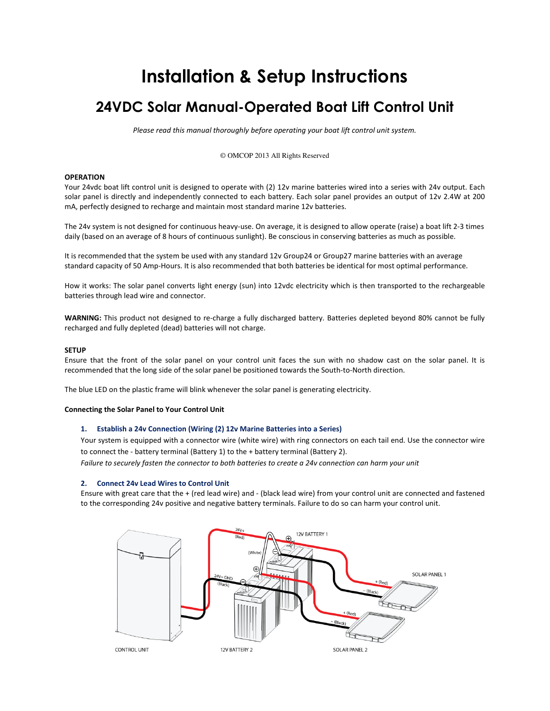# Installation & Setup Instructions

## 24VDC Solar Manual-Operated Boat Lift Control Unit

Please read this manual thoroughly before operating your boat lift control unit system.

© OMCOP 2013 All Rights Reserved

## **OPERATION**

Your 24vdc boat lift control unit is designed to operate with (2) 12v marine batteries wired into a series with 24v output. Each solar panel is directly and independently connected to each battery. Each solar panel provides an output of 12v 2.4W at 200 mA, perfectly designed to recharge and maintain most standard marine 12v batteries.

The 24v system is not designed for continuous heavy-use. On average, it is designed to allow operate (raise) a boat lift 2-3 times daily (based on an average of 8 hours of continuous sunlight). Be conscious in conserving batteries as much as possible.

It is recommended that the system be used with any standard 12v Group24 or Group27 marine batteries with an average standard capacity of 50 Amp-Hours. It is also recommended that both batteries be identical for most optimal performance.

How it works: The solar panel converts light energy (sun) into 12vdc electricity which is then transported to the rechargeable batteries through lead wire and connector.

WARNING: This product not designed to re-charge a fully discharged battery. Batteries depleted beyond 80% cannot be fully recharged and fully depleted (dead) batteries will not charge.

### **SETUP**

Ensure that the front of the solar panel on your control unit faces the sun with no shadow cast on the solar panel. It is recommended that the long side of the solar panel be positioned towards the South-to-North direction.

The blue LED on the plastic frame will blink whenever the solar panel is generating electricity.

### Connecting the Solar Panel to Your Control Unit

## 1. Establish a 24v Connection (Wiring (2) 12v Marine Batteries into a Series)

Your system is equipped with a connector wire (white wire) with ring connectors on each tail end. Use the connector wire to connect the - battery terminal (Battery 1) to the + battery terminal (Battery 2). Failure to securely fasten the connector to both batteries to create a 24v connection can harm your unit

### 2. Connect 24v Lead Wires to Control Unit

Ensure with great care that the + (red lead wire) and - (black lead wire) from your control unit are connected and fastened to the corresponding 24v positive and negative battery terminals. Failure to do so can harm your control unit.

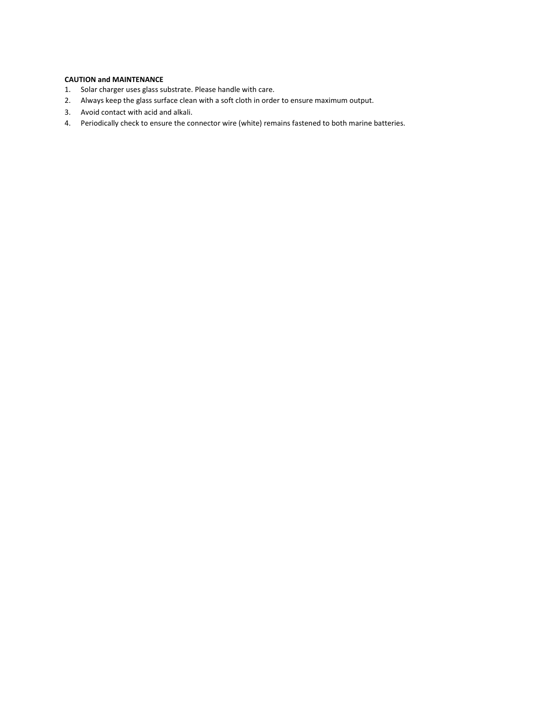## CAUTION and MAINTENANCE

- 1. Solar charger uses glass substrate. Please handle with care.
- 2. Always keep the glass surface clean with a soft cloth in order to ensure maximum output.
- 3. Avoid contact with acid and alkali.
- 4. Periodically check to ensure the connector wire (white) remains fastened to both marine batteries.